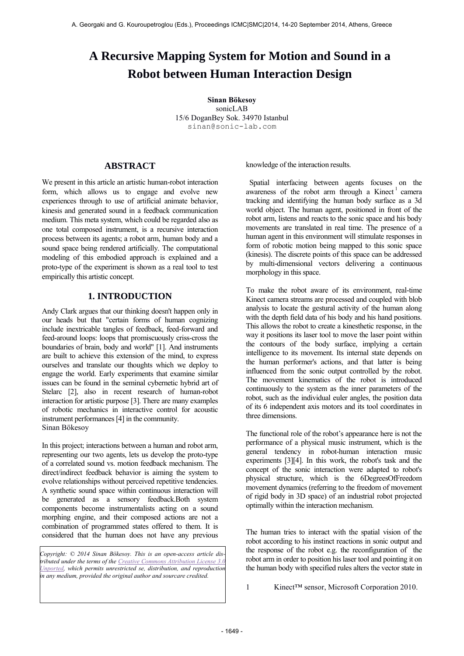# **A Recursive Mapping System for Motion and Sound in a Robot between Human Interaction Design**

**Sinan Bökesoy** sonicLAB 15/6 DoganBey Sok. 34970 Istanbul sinan@sonic-lab.com

# **ABSTRACT**

We present in this article an artistic human-robot interaction form, which allows us to engage and evolve new experiences through to use of artificial animate behavior, kinesis and generated sound in a feedback communication medium. This meta system, which could be regarded also as one total composed instrument, is a recursive interaction process between its agents; a robot arm, human body and a sound space being rendered artificially. The computational modeling of this embodied approach is explained and a proto-type of the experiment is shown as a real tool to test empirically this artistic concept.

# **1. INTRODUCTION**

Andy Clark argues that our thinking doesn't happen only in our heads but that "certain forms of human cognizing include inextricable tangles of feedback, feed-forward and feed-around loops: loops that promiscuously criss-cross the boundaries of brain, body and world" [1]. And instruments are built to achieve this extension of the mind, to express ourselves and translate our thoughts which we deploy to engage the world. Early experiments that examine similar issues can be found in the seminal cybernetic hybrid art of Stelarc [2], also in recent research of human-robot interaction for artistic purpose [3]. There are many examples of robotic mechanics in interactive control for acoustic instrument performances [4] in the community. Sinan Bökesoy

In this project; interactions between a human and robot arm, representing our two agents, lets us develop the proto-type of a correlated sound vs. motion feedback mechanism. The direct/indirect feedback behavior is aiming the system to evolve relationships without perceived repetitive tendencies. A synthetic sound space within continuous interaction will be generated as a sensory feedback.Both system components become instrumentalists acting on a sound morphing engine, and their composed actions are not a combination of programmed states offered to them. It is considered that the human does not have any previous

*Copyright: © 2014 Sinan Bökesoy. This is an open-access article distributed under the terms of th[e Creative Commons Attribution License 3.0](http://creativecommons.org/licenses/by/3.0/)  [Unported,](http://creativecommons.org/licenses/by/3.0/) which permits unrestricted se, distribution, and reproduction in any medium, provided the original author and sourcare credited.*

knowledge of the interaction results.

 Spatial interfacing between agents focuses on the awareness of the robot arm through a Kinect<sup>1</sup> camera tracking and identifying the human body surface as a 3d world object. The human agent, positioned in front of the robot arm, listens and reacts to the sonic space and his body movements are translated in real time. The presence of a human agent in this environment will stimulate responses in form of robotic motion being mapped to this sonic space (kinesis). The discrete points of this space can be addressed by multi-dimensional vectors delivering a continuous morphology in this space.

To make the robot aware of its environment, real-time Kinect camera streams are processed and coupled with blob analysis to locate the gestural activity of the human along with the depth field data of his body and his hand positions. This allows the robot to create a kinesthetic response, in the way it positions its laser tool to move the laser point within the contours of the body surface, implying a certain intelligence to its movement. Its internal state depends on the human performer's actions, and that latter is being influenced from the sonic output controlled by the robot. The movement kinematics of the robot is introduced continuously to the system as the inner parameters of the robot, such as the individual euler angles, the position data of its 6 independent axis motors and its tool coordinates in three dimensions.

The functional role of the robot's appearance here is not the performance of a physical music instrument, which is the general tendency in robot-human interaction music experiments [3][4]. In this work, the robot's task and the concept of the sonic interaction were adapted to robot's physical structure, which is the 6DegreesOfFreedom movement dynamics (referring to the freedom of movement of rigid body in 3D space) of an industrial robot projected optimally within the interaction mechanism.

The human tries to interact with the spatial vision of the robot according to his instinct reactions in sonic output and the response of the robot e.g. the reconfiguration of the robot arm in order to position his laser tool and pointing it on the human body with specified rules alters the vector state in

1 Kinect™ sensor, Microsoft Corporation 2010.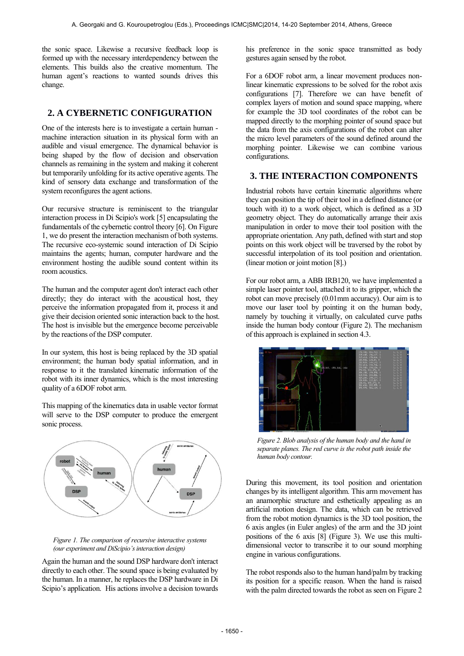the sonic space. Likewise a recursive feedback loop is formed up with the necessary interdependency between the elements. This builds also the creative momentum. The human agent's reactions to wanted sounds drives this change.

## **2. A CYBERNETIC CONFIGURATION**

One of the interests here is to investigate a certain human machine interaction situation in its physical form with an audible and visual emergence. The dynamical behavior is being shaped by the flow of decision and observation channels as remaining in the system and making it coherent but temporarily unfolding for its active operative agents. The kind of sensory data exchange and transformation of the system reconfigures the agent actions.

Our recursive structure is reminiscent to the triangular interaction process in Di Scipio's work [5] encapsulating the fundamentals of the cybernetic control theory [6]. On Figure 1, we do present the interaction mechanism of both systems. The recursive eco-systemic sound interaction of Di Scipio maintains the agents; human, computer hardware and the environment hosting the audible sound content within its room acoustics.

The human and the computer agent don't interact each other directly; they do interact with the acoustical host, they perceive the information propagated from it, process it and give their decision oriented sonic interaction back to the host. The host is invisible but the emergence become perceivable by the reactions of the DSP computer.

In our system, this host is being replaced by the 3D spatial environment; the human body spatial information, and in response to it the translated kinematic information of the robot with its inner dynamics, which is the most interesting quality of a 6DOF robot arm.

This mapping of the kinematics data in usable vector format will serve to the DSP computer to produce the emergent sonic process.





Again the human and the sound DSP hardware don't interact directly to each other. The sound space is being evaluated by the human. In a manner, he replaces the DSP hardware in Di Scipio's application. His actions involve a decision towards his preference in the sonic space transmitted as body gestures again sensed by the robot.

For a 6DOF robot arm, a linear movement produces nonlinear kinematic expressions to be solved for the robot axis configurations [7]. Therefore we can have benefit of complex layers of motion and sound space mapping, where for example the 3D tool coordinates of the robot can be mapped directly to the morphing pointer of sound space but the data from the axis configurations of the robot can alter the micro level parameters of the sound defined around the morphing pointer. Likewise we can combine various configurations.

# **3. THE INTERACTION COMPONENTS**

Industrial robots have certain kinematic algorithms where they can position the tip of their tool in a defined distance (or touch with it) to a work object, which is defined as a 3D geometry object. They do automatically arrange their axis manipulation in order to move their tool position with the appropriate orientation. Any path, defined with start and stop points on this work object will be traversed by the robot by successful interpolation of its tool position and orientation. (linear motion or joint motion [8].)

For our robot arm, a ABB IRB120, we have implemented a simple laser pointer tool, attached it to its gripper, which the robot can move precisely (0.01mm accuracy). Our aim is to move our laser tool by pointing it on the human body, namely by touching it virtually, on calculated curve paths inside the human body contour (Figure 2). The mechanism of this approach is explained in section 4.3.



*Figure 2. Blob analysis of the human body and the hand in separate planes. The red curve is the robot path inside the human body contour.* 

During this movement, its tool position and orientation changes by its intelligent algorithm. This arm movement has an anamorphic structure and esthetically appealing as an artificial motion design. The data, which can be retrieved from the robot motion dynamics is the 3D tool position, the 6 axis angles (in Euler angles) of the arm and the 3D joint positions of the 6 axis [8] (Figure 3). We use this multidimensional vector to transcribe it to our sound morphing engine in various configurations.

The robot responds also to the human hand/palm by tracking its position for a specific reason. When the hand is raised with the palm directed towards the robot as seen on Figure 2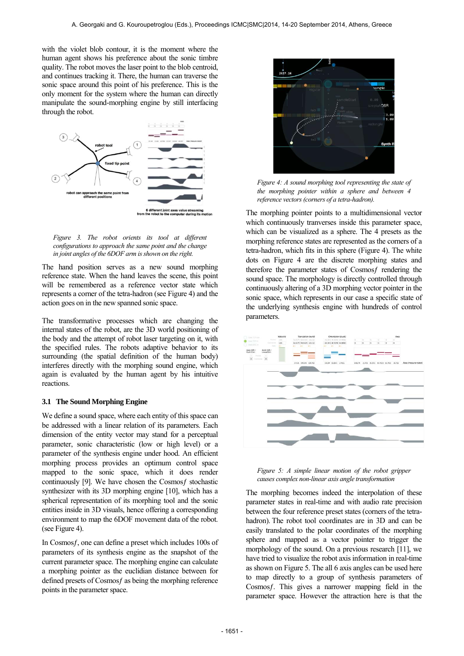with the violet blob contour, it is the moment where the human agent shows his preference about the sonic timbre quality. The robot moves the laser point to the blob centroid, and continues tracking it. There, the human can traverse the sonic space around this point of his preference. This is the only moment for the system where the human can directly manipulate the sound-morphing engine by still interfacing through the robot.



*Figure 3. The robot orients its tool at different configurations to approach the same point and the change in joint angles of the 6DOF arm is shown on the right.* 

The hand position serves as a new sound morphing reference state. When the hand leaves the scene, this point will be remembered as a reference vector state which represents a corner of the tetra-hadron (see Figure 4) and the action goes on in the new spanned sonic space.

The transformative processes which are changing the internal states of the robot, are the 3D world positioning of the body and the attempt of robot laser targeting on it, with the specified rules. The robots adaptive behavior to its surrounding (the spatial definition of the human body) interferes directly with the morphing sound engine, which again is evaluated by the human agent by his intuitive reactions.

#### **3.1 The Sound Morphing Engine**

We define a sound space, where each entity of this space can be addressed with a linear relation of its parameters. Each dimension of the entity vector may stand for a perceptual parameter, sonic characteristic (low or high level) or a parameter of the synthesis engine under hood. An efficient morphing process provides an optimum control space mapped to the sonic space, which it does render continuously [9]. We have chosen the Cosmosf stochastic synthesizer with its 3D morphing engine [10], which has a spherical representation of its morphing tool and the sonic entities inside in 3D visuals, hence offering a corresponding environment to map the 6DOF movement data of the robot. (see Figure 4).

In Cosmos f, one can define a preset which includes 100s of parameters of its synthesis engine as the snapshot of the current parameter space. The morphing engine can calculate a morphing pointer as the euclidian distance between for defined presets of Cosmos f as being the morphing reference points in the parameter space.



*Figure 4: A sound morphing tool representing the state of the morphing pointer within a sphere and between 4 reference vectors (corners of a tetra-hadron).* 

The morphing pointer points to a multidimensional vector which continuously tranverses inside this parameter space, which can be visualized as a sphere. The 4 presets as the morphing reference states are represented as the corners of a tetra-hadron, which fits in this sphere (Figure 4). The white dots on Figure 4 are the discrete morphing states and therefore the parameter states of Cosmos frendering the sound space. The morphology is directly controlled through continuously altering of a 3D morphing vector pointer in the sonic space, which represents in our case a specific state of the underlying synthesis engine with hundreds of control parameters.



*Figure 5: A simple linear motion of the robot gripper causes complex non-linear axis angle transformation* 

The morphing becomes indeed the interpolation of these parameter states in real-time and with audio rate precision between the four reference preset states (corners of the tetrahadron). The robot tool coordinates are in 3D and can be easily translated to the polar coordinates of the morphing sphere and mapped as a vector pointer to trigger the morphology of the sound. On a previous research [11], we have tried to visualize the robot axis information in real-time as shown on Figure 5. The all 6 axis angles can be used here to map directly to a group of synthesis parameters of Cosmosƒ. This gives a narrower mapping field in the parameter space. However the attraction here is that the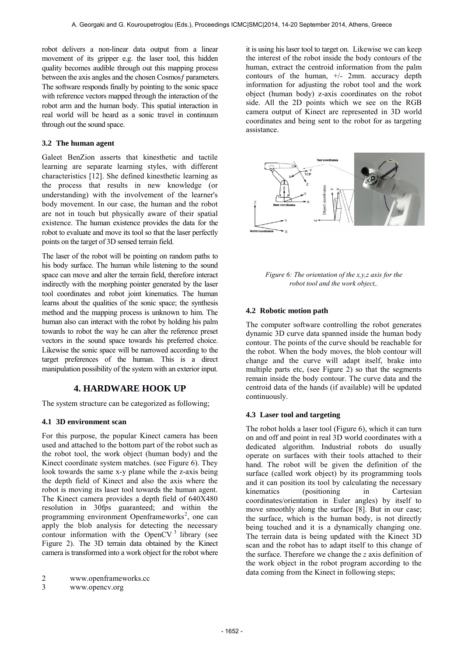robot delivers a non-linear data output from a linear movement of its gripper e.g. the laser tool, this hidden quality becomes audible through out this mapping process between the axis angles and the chosen Cosmos f parameters. The software responds finally by pointing to the sonic space with reference vectors mapped through the interaction of the robot arm and the human body. This spatial interaction in real world will be heard as a sonic travel in continuum through out the sound space.

### **3.2 The human agent**

Galeet BenZion asserts that kinesthetic and tactile learning are separate learning styles, with different characteristics [12]. She defined kinesthetic learning as the process that results in new knowledge (or understanding) with the involvement of the learner's body movement. In our case, the human and the robot are not in touch but physically aware of their spatial existence. The human existence provides the data for the robot to evaluate and move its tool so that the laser perfectly points on the target of 3D sensed terrain field.

The laser of the robot will be pointing on random paths to his body surface. The human while listening to the sound space can move and alter the terrain field, therefore interact indirectly with the morphing pointer generated by the laser tool coordinates and robot joint kinematics. The human learns about the qualities of the sonic space; the synthesis method and the mapping process is unknown to him. The human also can interact with the robot by holding his palm towards to robot the way he can alter the reference preset vectors in the sound space towards his preferred choice. Likewise the sonic space will be narrowed according to the target preferences of the human. This is a direct manipulation possibility of the system with an exterior input.

# **4. HARDWARE HOOK UP**

The system structure can be categorized as following;

#### **4.1 3D environment scan**

For this purpose, the popular Kinect camera has been used and attached to the bottom part of the robot such as the robot tool, the work object (human body) and the Kinect coordinate system matches. (see Figure 6). They look towards the same x-y plane while the z-axis being the depth field of Kinect and also the axis where the robot is moving its laser tool towards the human agent. The Kinect camera provides a depth field of 640X480 resolution in 30fps guaranteed; and within the programming environment Openframeworks<sup>2</sup>, one can apply the blob analysis for detecting the necessary contour information with the OpenCV $3$  library (see Figure 2). The 3D terrain data obtained by the Kinect camera is transformed into a work object for the robot where

3 www.opencv.org

it is using his laser tool to target on. Likewise we can keep the interest of the robot inside the body contours of the human, extract the centroid information from the palm contours of the human,  $+/-$  2mm. accuracy depth information for adjusting the robot tool and the work object (human body) z-axis coordinates on the robot side. All the 2D points which we see on the RGB camera output of Kinect are represented in 3D world coordinates and being sent to the robot for as targeting assistance.



*Figure 6: The orientation of the x,y,z axis for the robot tool and the work object,.* 

#### **4.2 Robotic motion path**

The computer software controlling the robot generates dynamic 3D curve data spanned inside the human body contour. The points of the curve should be reachable for the robot. When the body moves, the blob contour will change and the curve will adapt itself, brake into multiple parts etc, (see Figure 2) so that the segments remain inside the body contour. The curve data and the centroid data of the hands (if available) will be updated continuously.

#### **4.3 Laser tool and targeting**

The robot holds a laser tool (Figure 6), which it can turn on and off and point in real 3D world coordinates with a dedicated algorithm. Industrial robots do usually operate on surfaces with their tools attached to their hand. The robot will be given the definition of the surface (called work object) by its programming tools and it can position its tool by calculating the necessary kinematics (positioning in Cartesian coordinates/orientation in Euler angles) by itself to move smoothly along the surface [8]. But in our case; the surface, which is the human body, is not directly being touched and it is a dynamically changing one. The terrain data is being updated with the Kinect 3D scan and the robot has to adapt itself to this change of the surface. Therefore we change the *z* axis definition of the work object in the robot program according to the data coming from the Kinect in following steps;

<sup>2</sup> www.openframeworks.cc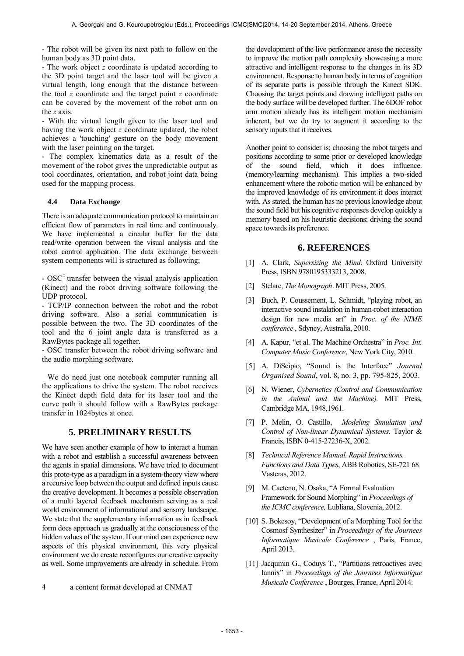- The robot will be given its next path to follow on the human body as 3D point data.

- The work object *z* coordinate is updated according to the 3D point target and the laser tool will be given a virtual length, long enough that the distance between the tool *z* coordinate and the target point *z* coordinate can be covered by the movement of the robot arm on the *z* axis.

- With the virtual length given to the laser tool and having the work object *z* coordinate updated, the robot achieves a 'touching' gesture on the body movement with the laser pointing on the target.

- The complex kinematics data as a result of the movement of the robot gives the unpredictable output as tool coordinates, orientation, and robot joint data being used for the mapping process.

#### **4.4 Data Exchange**

There is an adequate communication protocol to maintain an efficient flow of parameters in real time and continuously. We have implemented a circular buffer for the data read/write operation between the visual analysis and the robot control application. The data exchange between system components will is structured as following;

- OSC<sup>4</sup> transfer between the visual analysis application (Kinect) and the robot driving software following the UDP protocol.

- TCP/IP connection between the robot and the robot driving software. Also a serial communication is possible between the two. The 3D coordinates of the tool and the 6 joint angle data is transferred as a RawBytes package all together.

- OSC transfer between the robot driving software and the audio morphing software.

We do need just one notebook computer running all the applications to drive the system. The robot receives the Kinect depth field data for its laser tool and the curve path it should follow with a RawBytes package transfer in 1024bytes at once.

## **5. PRELIMINARY RESULTS**

We have seen another example of how to interact a human with a robot and establish a successful awareness between the agents in spatial dimensions. We have tried to document this proto-type as a paradigm in a system-theory view where a recursive loop between the output and defined inputs cause the creative development. It becomes a possible observation of a multi layered feedback mechanism serving as a real world environment of informational and sensory landscape. We state that the supplementary information as in feedback form does approach us gradually at the consciousness of the hidden values of the system. If our mind can experience new aspects of this physical environment, this very physical environment we do create reconfigures our creative capacity as well. Some improvements are already in schedule. From

the development of the live performance arose the necessity to improve the motion path complexity showcasing a more attractive and intelligent response to the changes in its 3D environment. Response to human body in terms of cognition of its separate parts is possible through the Kinect SDK. Choosing the target points and drawing intelligent paths on the body surface will be developed further. The 6DOF robot arm motion already has its intelligent motion mechanism inherent, but we do try to augment it according to the sensory inputs that it receives.

Another point to consider is; choosing the robot targets and positions according to some prior or developed knowledge of the sound field, which it does influence. (memory/learning mechanism). This implies a two-sided enhancement where the robotic motion will be enhanced by the improved knowledge of its environment it does interact with. As stated, the human has no previous knowledge about the sound field but his cognitive responses develop quickly a memory based on his heuristic decisions; driving the sound space towards its preference.

## **6. REFERENCES**

- [1] A. Clark, *Supersizing the Mind*. Oxford University Press, ISBN 9780195333213, 2008.
- [2] Stelarc, *The Monograph*. MIT Press, 2005.
- [3] Buch, P. Coussement, L. Schmidt, "playing robot, an interactive sound instalation in human-robot interaction design for new media art" in *Proc. of the NIME conference* , Sdyney, Australia, 2010.
- [4] A. Kapur, "et al. The Machine Orchestra" in *Proc. Int. Computer Music Conference*, New York City, 2010.
- [5] A. DiScipio, "Sound is the Interface" *Journal Organised Sound*, vol. 8, no. 3, pp. 795-825, 2003.
- [6] N. Wiener, *Cybernetics (Control and Communication in the Animal and the Machine).* MIT Press, Cambridge MA, 1948,1961.
- [7] P. Melin, O. Castillo, *Modeling Simulation and Control of Non-linear Dynamical Systems.* Taylor & Francis, ISBN 0-415-27236-X, 2002.
- [8] *Technical Reference Manual, Rapid Instructions, Functions and Data Types*, ABB Robotics, SE-721 68 Vasteras, 2012.
- [9] M. Caeteno, N. Osaka, "A Formal Evaluation Framework for Sound Morphing" in *Proceedings of the ICMC conference,* Lubliana, Slovenia, 2012.
- [10] S. Bokesoy, "Development of a Morphing Tool for the Cosmosf Synthesizer" in *Proceedings of the Journees Informatique Musicale Conference* , Paris, France, April 2013.
- [11] Jacqumin G., Coduys T., "Partitions retroactives avec Iannix" in *Proceedings of the Journees Informatique Musicale Conference* , Bourges, France, April 2014.